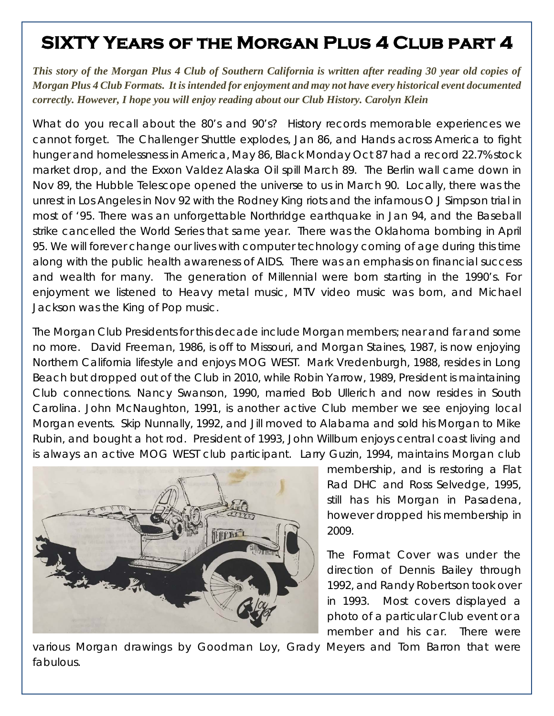## **SIXTY Years of the Morgan Plus 4 Club part 4**

*This story of the Morgan Plus 4 Club of Southern California is written after reading 30 year old copies of Morgan Plus 4 Club Formats. It is intended for enjoyment and may not have every historical event documented correctly. However, I hope you will enjoy reading about our Club History. Carolyn Klein* 

What do you recall about the 80's and 90's? History records memorable experiences we cannot forget. The Challenger Shuttle explodes, Jan 86, and Hands across America to fight hunger and homelessness in America, May 86, Black Monday Oct 87 had a record 22.7% stock market drop, and the Exxon Valdez Alaska Oil spill March 89. The Berlin wall came down in Nov 89, the Hubble Telescope opened the universe to us in March 90. Locally, there was the unrest in Los Angeles in Nov 92 with the Rodney King riots and the infamous O J Simpson trial in most of '95. There was an unforgettable Northridge earthquake in Jan 94, and the Baseball strike cancelled the World Series that same year. There was the Oklahoma bombing in April 95. We will forever change our lives with computer technology coming of age during this time along with the public health awareness of AIDS. There was an emphasis on financial success and wealth for many. The generation of Millennial were born starting in the 1990's. For enjoyment we listened to Heavy metal music, MTV video music was born, and Michael Jackson was the King of Pop music.

The Morgan Club Presidents for this decade include Morgan members; near and far and some no more. David Freeman, 1986, is off to Missouri, and Morgan Staines, 1987, is now enjoying Northern California lifestyle and enjoys MOG WEST. Mark Vredenburgh, 1988, resides in Long Beach but dropped out of the Club in 2010, while Robin Yarrow, 1989, President is maintaining Club connections. Nancy Swanson, 1990, married Bob Ullerich and now resides in South Carolina. John McNaughton, 1991, is another active Club member we see enjoying local Morgan events. Skip Nunnally, 1992, and Jill moved to Alabama and sold his Morgan to Mike Rubin, and bought a hot rod. President of 1993, John Willburn enjoys central coast living and is always an active MOG WEST club participant. Larry Guzin, 1994, maintains Morgan club



membership, and is restoring a Flat Rad DHC and Ross Selvedge, 1995, still has his Morgan in Pasadena, however dropped his membership in 2009.

The Format Cover was under the direction of Dennis Bailey through 1992, and Randy Robertson took over in 1993. Most covers displayed a photo of a particular Club event or a member and his car. There were

various Morgan drawings by Goodman Loy, Grady Meyers and Tom Barron that were fabulous.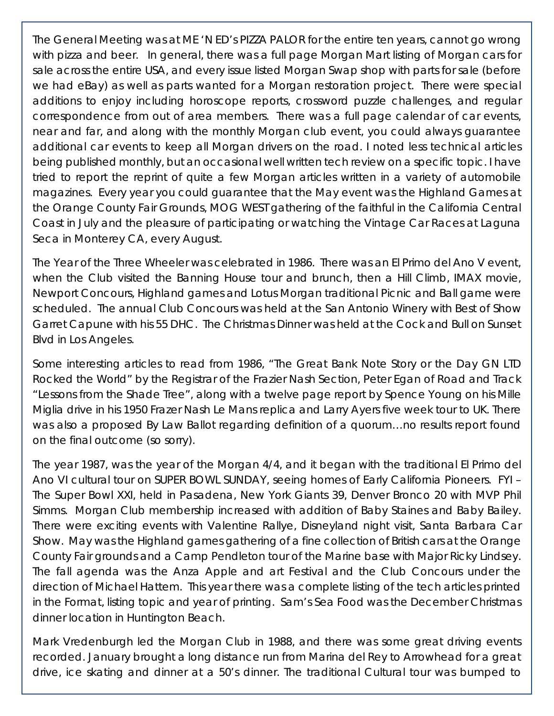The General Meeting was at ME 'N ED's PIZZA PALOR for the entire ten years, cannot go wrong with pizza and beer. In general, there was a full page Morgan Mart listing of Morgan cars for sale across the entire USA, and every issue listed Morgan Swap shop with parts for sale (before we had eBay) as well as parts wanted for a Morgan restoration project. There were special additions to enjoy including horoscope reports, crossword puzzle challenges, and regular correspondence from out of area members. There was a full page calendar of car events, near and far, and along with the monthly Morgan club event, you could always guarantee additional car events to keep all Morgan drivers on the road. I noted less technical articles being published monthly, but an occasional well written tech review on a specific topic. I have tried to report the reprint of quite a few Morgan articles written in a variety of automobile magazines. Every year you could guarantee that the May event was the Highland Games at the Orange County Fair Grounds, MOG WEST gathering of the faithful in the California Central Coast in July and the pleasure of participating or watching the Vintage Car Races at Laguna Seca in Monterey CA, every August.

The Year of the Three Wheeler was celebrated in 1986. There was an El Primo del Ano V event, when the Club visited the Banning House tour and brunch, then a Hill Climb, IMAX movie, Newport Concours, Highland games and Lotus Morgan traditional Picnic and Ball game were scheduled. The annual Club Concours was held at the San Antonio Winery with Best of Show Garret Capune with his 55 DHC. The Christmas Dinner was held at the Cock and Bull on Sunset Blvd in Los Angeles.

Some interesting articles to read from 1986, "The Great Bank Note Story or the Day GN LTD Rocked the World" by the Registrar of the Frazier Nash Section, Peter Egan of Road and Track "Lessons from the Shade Tree", along with a twelve page report by Spence Young on his Mille Miglia drive in his 1950 Frazer Nash Le Mans replica and Larry Ayers five week tour to UK. There was also a proposed By Law Ballot regarding definition of a quorum…no results report found on the final outcome (so sorry).

The year 1987, was the year of the Morgan 4/4, and it began with the traditional El Primo del Ano VI cultural tour on SUPER BOWL SUNDAY, seeing homes of Early California Pioneers. FYI – The Super Bowl XXI, held in Pasadena, New York Giants 39, Denver Bronco 20 with MVP Phil Simms. Morgan Club membership increased with addition of Baby Staines and Baby Bailey. There were exciting events with Valentine Rallye, Disneyland night visit, Santa Barbara Car Show. May was the Highland games gathering of a fine collection of British cars at the Orange County Fair grounds and a Camp Pendleton tour of the Marine base with Major Ricky Lindsey. The fall agenda was the Anza Apple and art Festival and the Club Concours under the direction of Michael Hattem. This year there was a complete listing of the tech articles printed in the Format, listing topic and year of printing. Sam's Sea Food was the December Christmas dinner location in Huntington Beach.

Mark Vredenburgh led the Morgan Club in 1988, and there was some great driving events recorded. January brought a long distance run from Marina del Rey to Arrowhead for a great drive, ice skating and dinner at a 50's dinner. The traditional Cultural tour was bumped to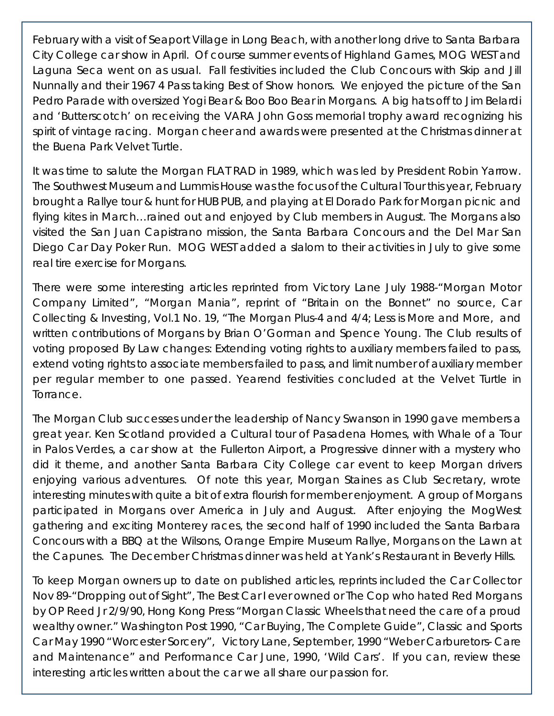February with a visit of Seaport Village in Long Beach, with another long drive to Santa Barbara City College car show in April. Of course summer events of Highland Games, MOG WEST and Laguna Seca went on as usual. Fall festivities included the Club Concours with Skip and Jill Nunnally and their 1967 4 Pass taking Best of Show honors. We enjoyed the picture of the San Pedro Parade with oversized Yogi Bear & Boo Boo Bear in Morgans. A big hats off to Jim Belardi and 'Butterscotch' on receiving the VARA John Goss memorial trophy award recognizing his *spirit of vintage racing.* Morgan cheer and awards were presented at the Christmas dinner at the Buena Park Velvet Turtle.

It was time to salute the Morgan FLAT RAD in 1989, which was led by President Robin Yarrow. The Southwest Museum and Lummis House was the focus of the Cultural Tour this year, February brought a Rallye tour & hunt for HUB PUB, and playing at El Dorado Park for Morgan picnic and flying kites in March…rained out and enjoyed by Club members in August. The Morgans also visited the San Juan Capistrano mission, the Santa Barbara Concours and the Del Mar San Diego Car Day Poker Run. MOG WEST added a slalom to their activities in July to give some real tire exercise for Morgans.

There were some interesting articles reprinted from Victory Lane July 1988-"Morgan Motor Company Limited", "Morgan Mania", reprint of "Britain on the Bonnet" no source, Car Collecting & Investing, Vol.1 No. 19, "The Morgan Plus-4 and 4/4; Less is More and More, and written contributions of Morgans by Brian O'Gorman and Spence Young. The Club results of voting proposed By Law changes: Extending voting rights to auxiliary members failed to pass, extend voting rights to associate members failed to pass, and limit number of auxiliary member per regular member to one passed. Yearend festivities concluded at the Velvet Turtle in Torrance.

The Morgan Club successes under the leadership of Nancy Swanson in 1990 gave members a great year. Ken Scotland provided a Cultural tour of Pasadena Homes, with Whale of a Tour in Palos Verdes, a car show at the Fullerton Airport, a Progressive dinner with a mystery who did it theme, and another Santa Barbara City College car event to keep Morgan drivers enjoying various adventures. Of note this year, Morgan Staines as Club Secretary, wrote interesting minutes with quite a bit of extra flourish for member enjoyment. A group of Morgans participated in Morgans over America in July and August. After enjoying the MogWest gathering and exciting Monterey races, the second half of 1990 included the Santa Barbara Concours with a BBQ at the Wilsons, Orange Empire Museum Rallye, Morgans on the Lawn at the Capunes. The December Christmas dinner was held at Yank's Restaurant in Beverly Hills.

To keep Morgan owners up to date on published articles, reprints included the Car Collector Nov 89-"Dropping out of Sight", The Best Car I ever owned or The Cop who hated Red Morgans by OP Reed Jr 2/9/90, Hong Kong Press "Morgan Classic Wheels that need the care of a proud wealthy owner." Washington Post 1990, "Car Buying, The Complete Guide", Classic and Sports Car May 1990 "Worcester Sorcery", Victory Lane, September, 1990 "Weber Carburetors- Care and Maintenance" and Performance Car June, 1990, 'Wild Cars'. If you can, review these interesting articles written about the car we all share our passion for.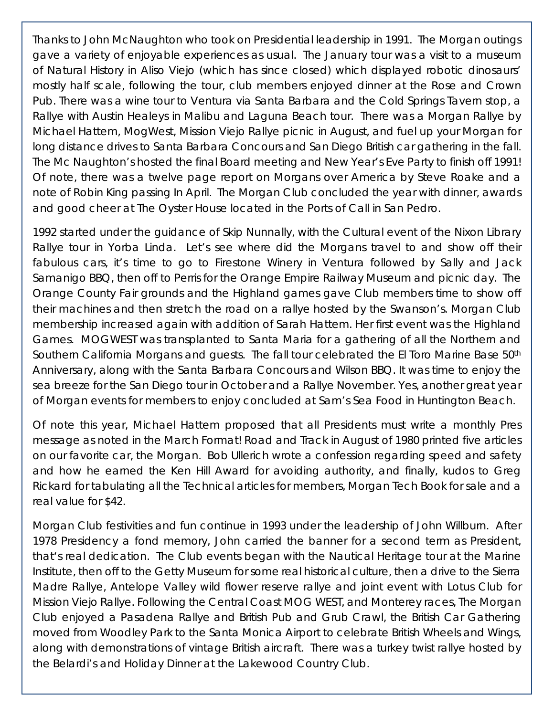Thanks to John McNaughton who took on Presidential leadership in 1991. The Morgan outings gave a variety of enjoyable experiences as usual. The January tour was a visit to a museum of Natural History in Aliso Viejo (which has since closed) which displayed robotic dinosaurs' mostly half scale, following the tour, club members enjoyed dinner at the Rose and Crown Pub. There was a wine tour to Ventura via Santa Barbara and the Cold Springs Tavern stop, a Rallye with Austin Healeys in Malibu and Laguna Beach tour. There was a Morgan Rallye by Michael Hattem, MogWest, Mission Viejo Rallye picnic in August, and fuel up your Morgan for long distance drives to Santa Barbara Concours and San Diego British car gathering in the fall. The Mc Naughton's hosted the final Board meeting and New Year's Eve Party to finish off 1991! Of note, there was a twelve page report on Morgans over America by Steve Roake and a note of Robin King passing In April. The Morgan Club concluded the year with dinner, awards and good cheer at The Oyster House located in the Ports of Call in San Pedro.

1992 started under the guidance of Skip Nunnally, with the Cultural event of the Nixon Library Rallye tour in Yorba Linda. Let's see where did the Morgans travel to and show off their fabulous cars, it's time to go to Firestone Winery in Ventura followed by Sally and Jack Samanigo BBQ, then off to Perris for the Orange Empire Railway Museum and picnic day. The Orange County Fair grounds and the Highland games gave Club members time to show off their machines and then stretch the road on a rallye hosted by the Swanson's. Morgan Club membership increased again with addition of Sarah Hattem. Her first event was the Highland Games. MOGWEST was transplanted to Santa Maria for a gathering of all the Northern and Southern California Morgans and guests. The fall tour celebrated the El Toro Marine Base 50th Anniversary, along with the Santa Barbara Concours and Wilson BBQ. It was time to enjoy the sea breeze for the San Diego tour in October and a Rallye November. Yes, another great year of Morgan events for members to enjoy concluded at Sam's Sea Food in Huntington Beach.

Of note this year, Michael Hattem proposed that all Presidents must write a monthly Pres message as noted in the March Format! Road and Track in August of 1980 printed five articles on our favorite car, the Morgan. Bob Ullerich wrote a confession regarding speed and safety and how he earned the Ken Hill Award for avoiding authority, and finally, kudos to Greg Rickard for tabulating all the Technical articles for members, Morgan Tech Book for sale and a real value for \$42.

Morgan Club festivities and fun continue in 1993 under the leadership of John Willburn. After 1978 Presidency a fond memory, John carried the banner for a second term as President, that's real dedication. The Club events began with the Nautical Heritage tour at the Marine Institute, then off to the Getty Museum for some real historical culture, then a drive to the Sierra Madre Rallye, Antelope Valley wild flower reserve rallye and joint event with Lotus Club for Mission Viejo Rallye. Following the Central Coast MOG WEST, and Monterey races, The Morgan Club enjoyed a Pasadena Rallye and British Pub and Grub Crawl, the British Car Gathering moved from Woodley Park to the Santa Monica Airport to celebrate British Wheels and Wings, along with demonstrations of vintage British aircraft. There was a turkey twist rallye hosted by the Belardi's and Holiday Dinner at the Lakewood Country Club.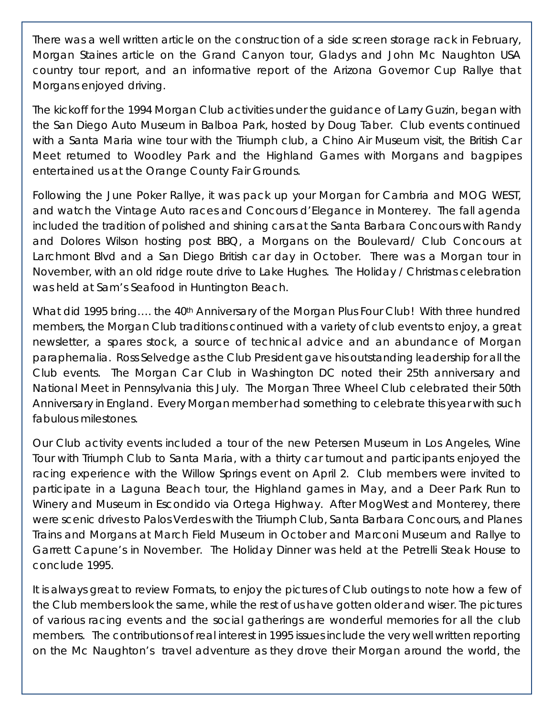There was a well written article on the construction of a side screen storage rack in February, Morgan Staines article on the Grand Canyon tour, Gladys and John Mc Naughton USA country tour report, and an informative report of the Arizona Governor Cup Rallye that Morgans enjoyed driving.

The kickoff for the 1994 Morgan Club activities under the guidance of Larry Guzin, began with the San Diego Auto Museum in Balboa Park, hosted by Doug Taber. Club events continued with a Santa Maria wine tour with the Triumph club, a Chino Air Museum visit, the British Car Meet returned to Woodley Park and the Highland Games with Morgans and bagpipes entertained us at the Orange County Fair Grounds.

Following the June Poker Rallye, it was pack up your Morgan for Cambria and MOG WEST, and watch the Vintage Auto races and Concours d'Elegance in Monterey. The fall agenda included the tradition of polished and shining cars at the Santa Barbara Concours with Randy and Dolores Wilson hosting post BBQ, a Morgans on the Boulevard/ Club Concours at Larchmont Blvd and a San Diego British car day in October. There was a Morgan tour in November, with an old ridge route drive to Lake Hughes. The Holiday / Christmas celebration was held at Sam's Seafood in Huntington Beach.

What did 1995 bring.... the 40<sup>th</sup> Anniversary of the Morgan Plus Four Club! With three hundred members, the Morgan Club traditions continued with a variety of club events to enjoy, a great newsletter, a spares stock, a source of technical advice and an abundance of Morgan paraphernalia. Ross Selvedge as the Club President gave his outstanding leadership for all the Club events. The Morgan Car Club in Washington DC noted their 25th anniversary and National Meet in Pennsylvania this July. The Morgan Three Wheel Club celebrated their 50th Anniversary in England. Every Morgan member had something to celebrate this year with such fabulous milestones.

Our Club activity events included a tour of the new Petersen Museum in Los Angeles, Wine Tour with Triumph Club to Santa Maria, with a thirty car turnout and participants enjoyed the racing experience with the Willow Springs event on April 2. Club members were invited to participate in a Laguna Beach tour, the Highland games in May, and a Deer Park Run to Winery and Museum in Escondido via Ortega Highway. After MogWest and Monterey, there were scenic drives to Palos Verdes with the Triumph Club, Santa Barbara Concours, and Planes Trains and Morgans at March Field Museum in October and Marconi Museum and Rallye to Garrett Capune's in November. The Holiday Dinner was held at the Petrelli Steak House to conclude 1995.

It is always great to review Formats, to enjoy the pictures of Club outings to note how a few of the Club members look the same, while the rest of us have gotten older and wiser. The pictures of various racing events and the social gatherings are wonderful memories for all the club members. The contributions of real interest in 1995 issues include the very well written reporting on the Mc Naughton's travel adventure as they drove their Morgan around the world, the